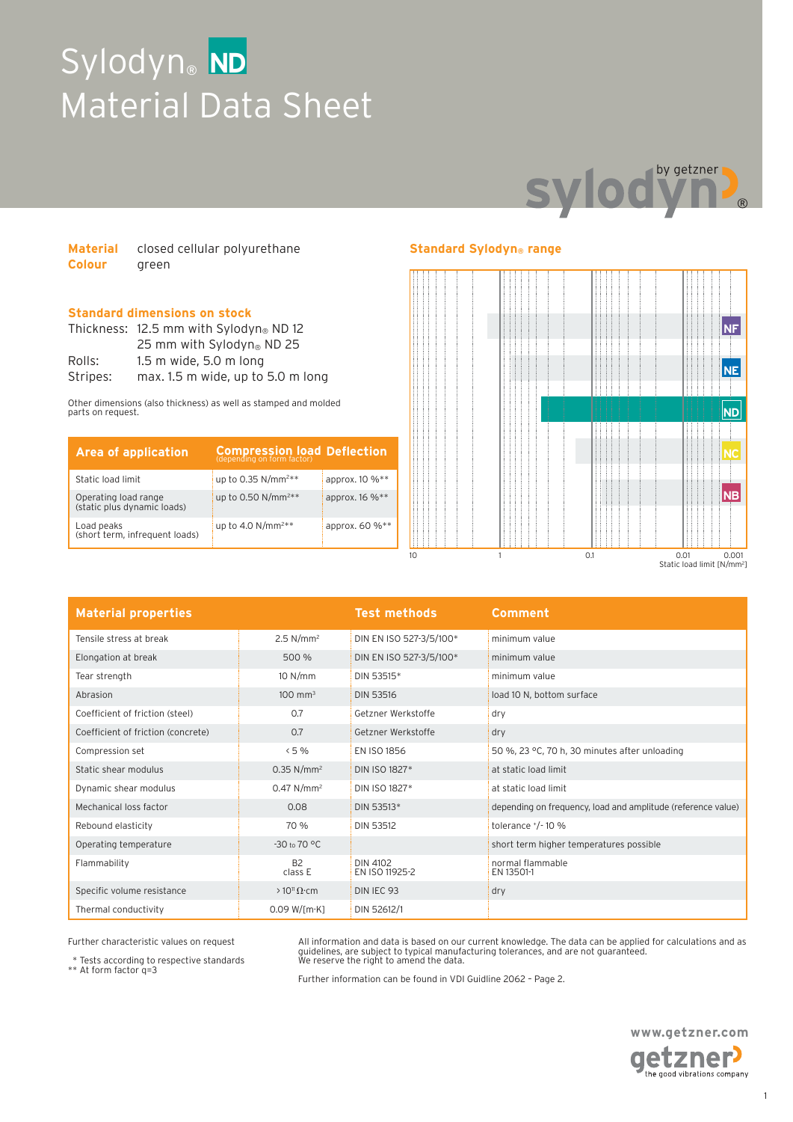# Sylodyn® ND Material Data Sheet



| <b>Material</b> | closed cellular polyurethane |
|-----------------|------------------------------|
| <b>Colour</b>   | green                        |

### **Standard dimensions on stock**

|          | Thickness: 12.5 mm with Sylodyn® ND 12 |  |  |
|----------|----------------------------------------|--|--|
|          | 25 mm with Sylodyn <sup>®</sup> ND 25  |  |  |
| Rolls:   | $1.5$ m wide, $5.0$ m long             |  |  |
| Stripes: | max. 1.5 m wide, up to 5.0 m long      |  |  |

Other dimensions (also thickness) as well as stamped and molded parts on request.

| <b>Area of application</b>                          | <b>Compression load Deflection</b> |                |
|-----------------------------------------------------|------------------------------------|----------------|
| Static load limit                                   | up to 0.35 N/mm <sup>2**</sup>     | approx. 10 %** |
| Operating load range<br>(static plus dynamic loads) | up to 0.50 N/mm <sup>2**</sup>     | арргох. 16 %** |
| Load peaks<br>(short term, infrequent loads)        | up to 4.0 $N/mm^{2**}$             | approx. 60 %** |

### **Standard Sylodyn® range**



| <b>Material properties</b>         |                          | <b>Test methods</b>        | <b>Comment</b>                                               |
|------------------------------------|--------------------------|----------------------------|--------------------------------------------------------------|
| Tensile stress at break            | 2.5 N/mm <sup>2</sup>    | DIN EN ISO 527-3/5/100*    | minimum value                                                |
| Elongation at break                | 500 %                    | DIN EN ISO 527-3/5/100*    | minimum value                                                |
| Tear strength                      | 10 N/mm                  | DIN 53515*                 | minimum value                                                |
| Abrasion                           | $100 \text{ mm}^3$       | <b>DIN 53516</b>           | load 10 N, bottom surface                                    |
| Coefficient of friction (steel)    | 0.7                      | Getzner Werkstoffe         | dry                                                          |
| Coefficient of friction (concrete) | 0.7                      | Getzner Werkstoffe         | dry                                                          |
| Compression set                    | < 5%                     | EN ISO 1856                | 50 %, 23 °C, 70 h, 30 minutes after unloading                |
| Static shear modulus               | $0.35$ N/mm <sup>2</sup> | DIN ISO 1827*              | at static load limit                                         |
| Dynamic shear modulus              | $0.47$ N/mm <sup>2</sup> | DIN ISO 1827*              | at static load limit                                         |
| Mechanical loss factor             | 0.08                     | DIN 53513*                 | depending on frequency, load and amplitude (reference value) |
| Rebound elasticity                 | 70 %                     | <b>DIN 53512</b>           | tolerance $^{+}/^{-}$ 10 %                                   |
| Operating temperature              | $-30$ to 70 °C           |                            | short term higher temperatures possible                      |
| Flammability                       | <b>B2</b><br>class E     | DIN 4102<br>EN ISO 11925-2 | normal flammable<br>EN 13501-1                               |
| Specific volume resistance         | $>10^{11} \Omega$ cm     | DIN IEC 93                 | dry                                                          |
| Thermal conductivity               | $0.09 W$ [m·K]           | DIN 52612/1                |                                                              |

Further characteristic values on request

\* Tests according to respective standards \*\* At form factor q=3

All information and data is based on our current knowledge. The data can be applied for calculations and as<br>guidelines, are subject to typical manufacturing tolerances, and are not guaranteed.<br>We reserve the right to amend

Further information can be found in VDI Guidline 2062 – Page 2.

**www.getzner.com**  getzner

the good vibrations company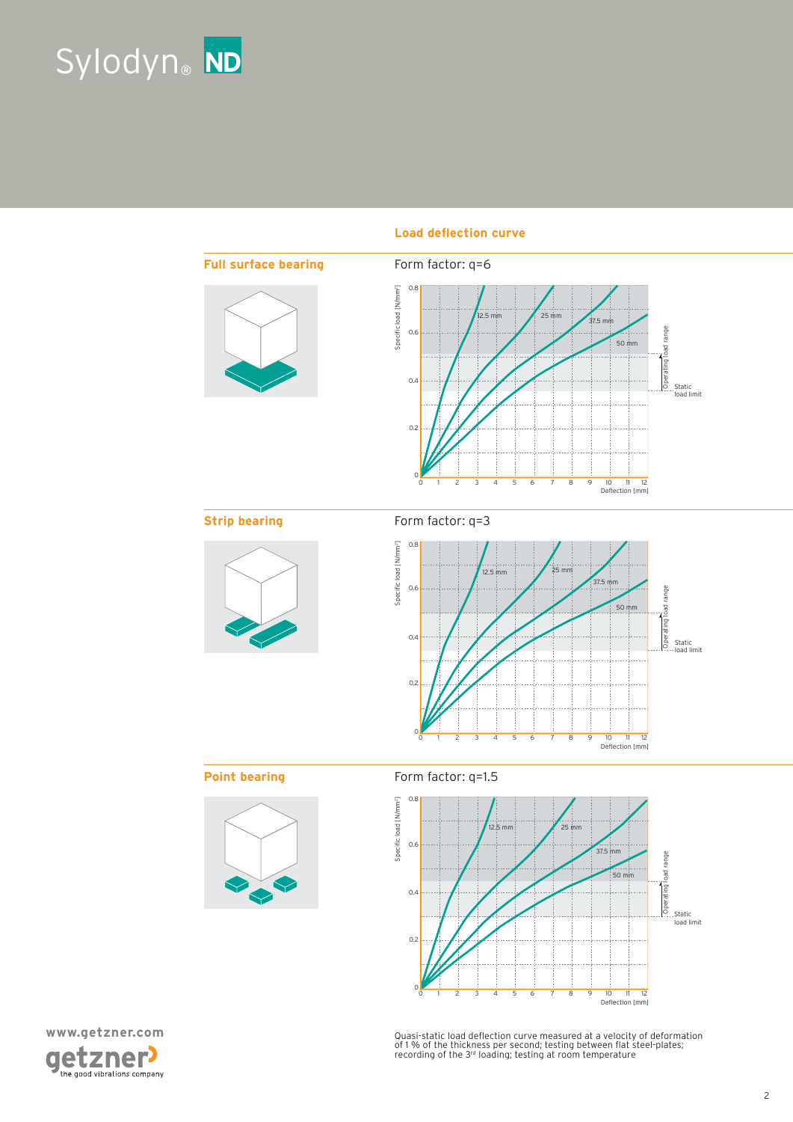



### Load deflection curve





Quasi-static load deflection curve measured at a velocity of deformation<br>of 1 % of the thickness per second; testing between flat steel-plates;<br>recording of the 3rª loading; testing at room temperature

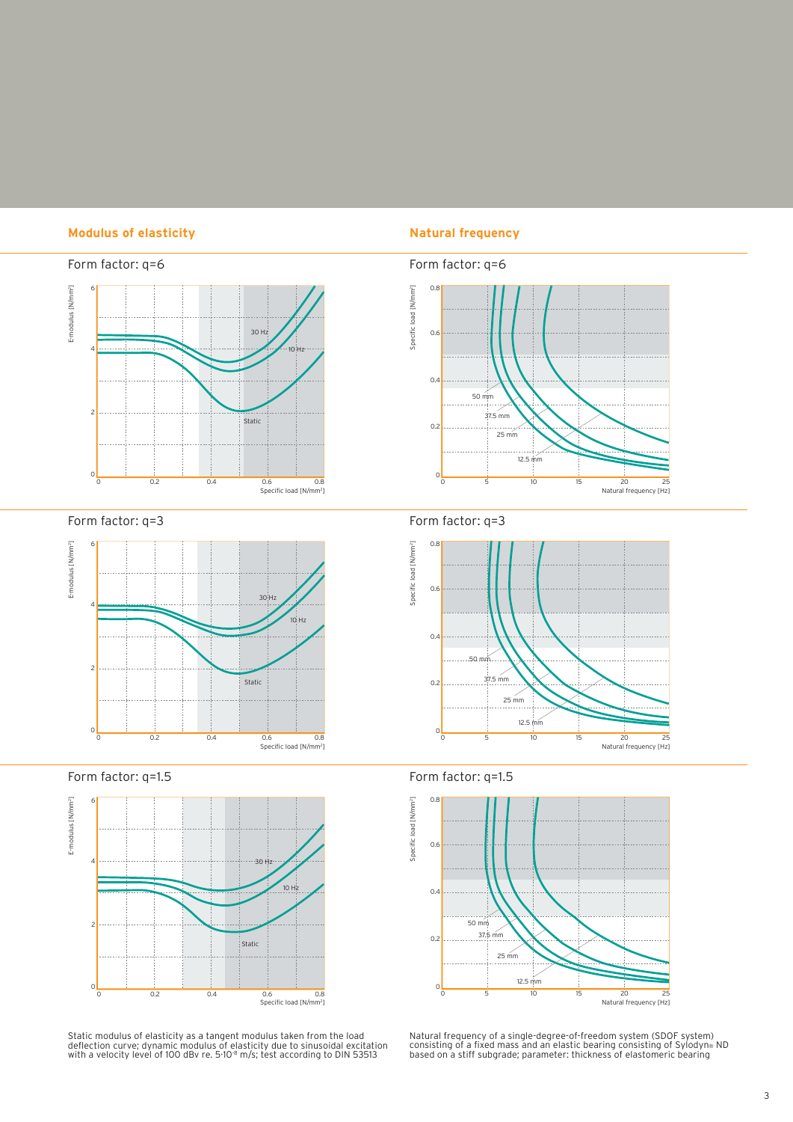### **Modulus of elasticity Natural frequency**



Form factor: q=3



Form factor: q=1.5



Static modulus of elasticity as a tangent modulus taken from the load<br>deflection curve; dynamic modulus of elasticity due to sinusoidal excitation<br>with a velocity level of 100 dBv re. 5·10<sup>.8</sup> m/s; test according to DIN 53







Form factor: q=1.5



Natural frequency of a single-degree-of-freedom system (SDOF system)<br>consisting of a fixed mass and an elastic bearing consisting of Sylodyn®<br>based on a stiff subgrade; parameter: thickness of elastomeric bearing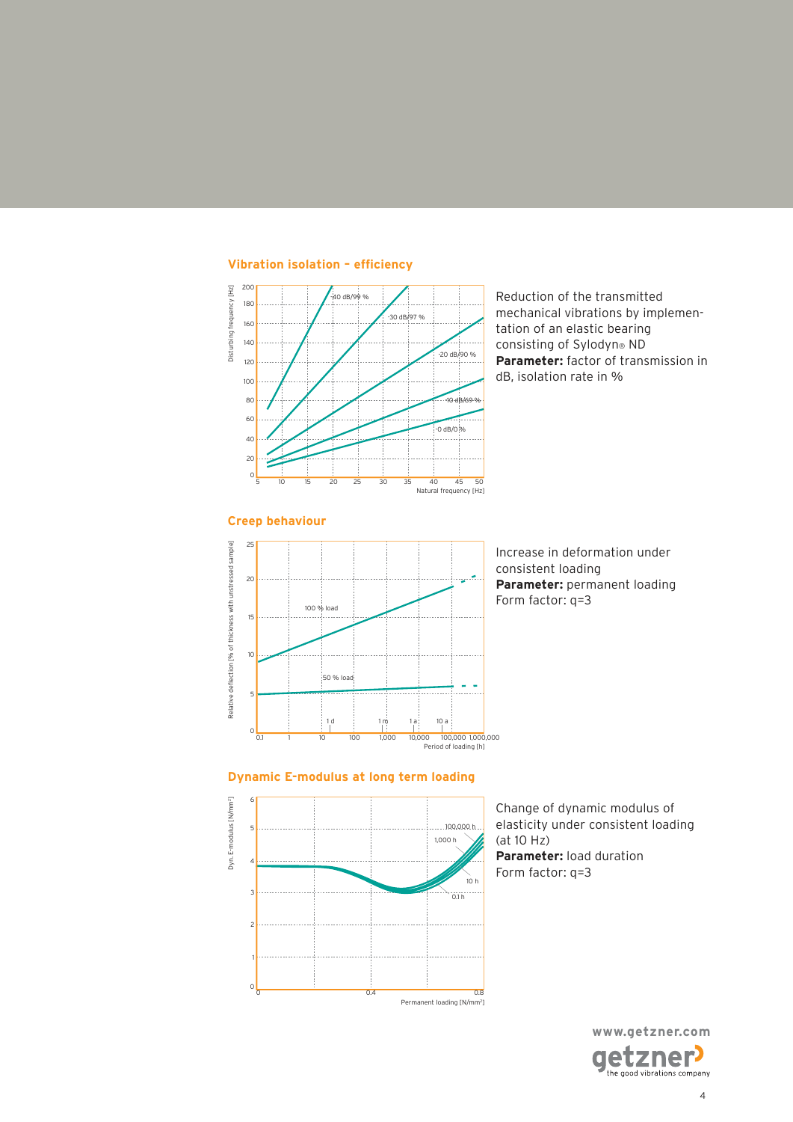

Reduction of the transmitted mechanical vibrations by implementation of an elastic bearing consisting of Sylodyn® ND **Parameter:** factor of transmission in dB, isolation rate in %



Increase in deformation under consistent loading **Parameter:** permanent loading Form factor: q=3

### **Dynamic E-modulus at long term loading**



Change of dynamic modulus of elasticity under consistent loading (at 10 Hz) **Parameter:** load duration Form factor: q=3

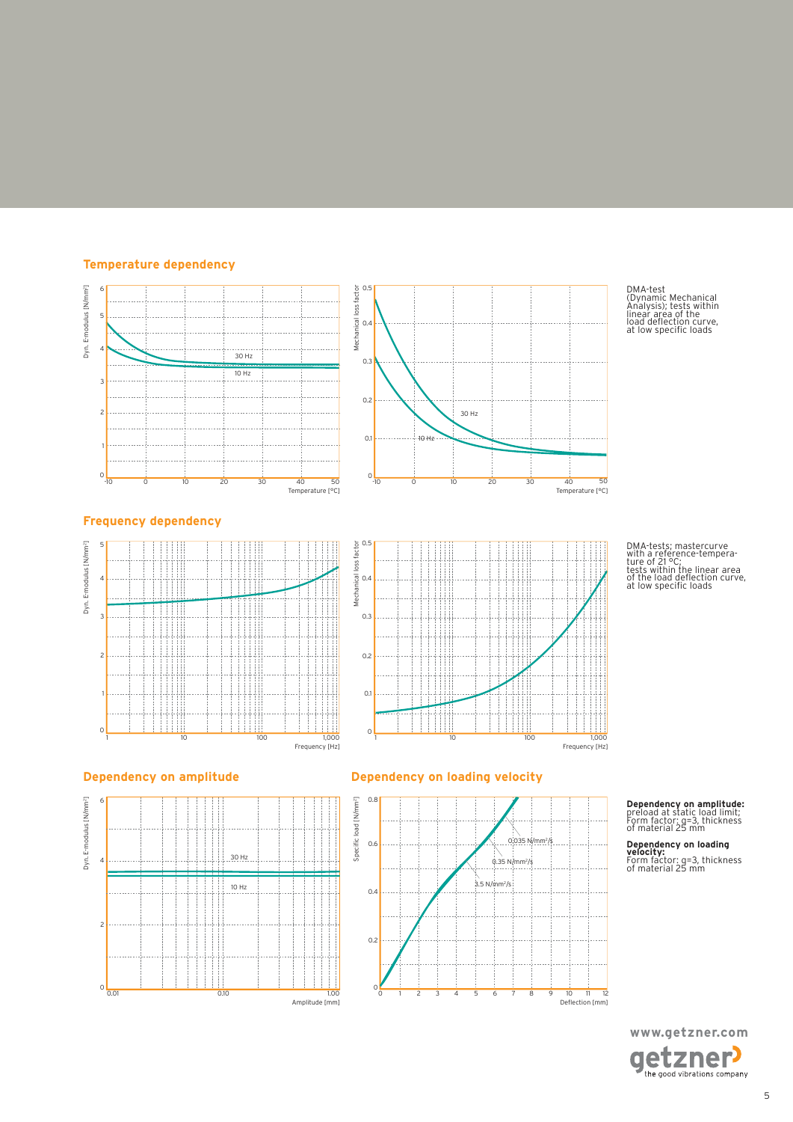### **Temperature dependency**





DMA-test (Dynamic Mechanical Analysis); tests within linear area of the load delection curve, at low speciic loads

DMA-tests; mastercurve with a reference-tempera-ture of 21 °C; tests within the linear area of the load delection curve, at low speciic loads

### **Frequency dependency**







### **Dependency on amplitude Dependency on loading velocity**



## **Dependency on amplitude:** preload at static load limit; Form factor: q=3, thickness of material 25 mm

**Dependency on loading velocity:** Form factor: q=3, thickness of material 25 mm